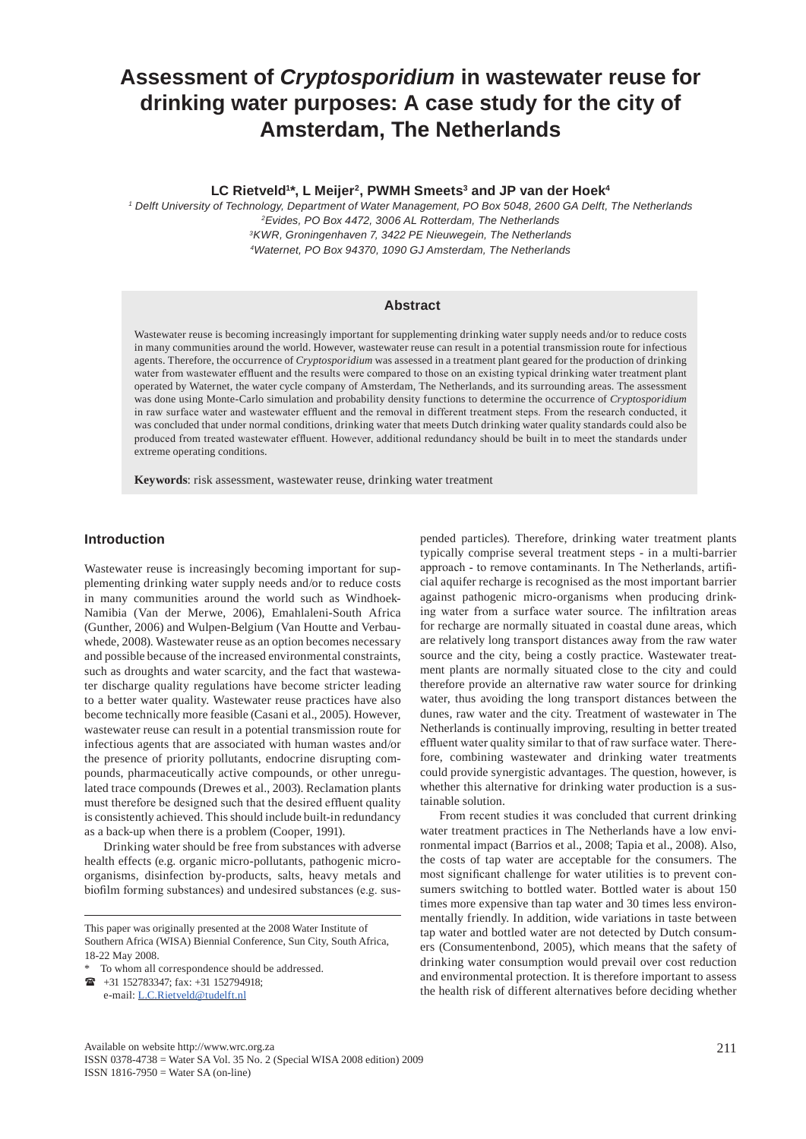# **Assessment of** *Cryptosporidium* **in wastewater reuse for drinking water purposes: A case study for the city of Amsterdam, The Netherlands**

**LC Rietveld1 \*, L Meijer2, PWMH Smeets3 and JP van der Hoek4**

*1 Delft University of Technology, Department of Water Management, PO Box 5048, 2600 GA Delft, The Netherlands 2Evides, PO Box 4472, 3006 AL Rotterdam, The Netherlands 3KWR, Groningenhaven 7, 3422 PE Nieuwegein, The Netherlands 4Waternet, PO Box 94370, 1090 GJ Amsterdam, The Netherlands*

#### **Abstract**

Wastewater reuse is becoming increasingly important for supplementing drinking water supply needs and/or to reduce costs in many communities around the world. However, wastewater reuse can result in a potential transmission route for infectious agents. Therefore, the occurrence of *Cryptosporidium* was assessed in a treatment plant geared for the production of drinking water from wastewater effluent and the results were compared to those on an existing typical drinking water treatment plant operated by Waternet, the water cycle company of Amsterdam, The Netherlands, and its surrounding areas. The assessment was done using Monte-Carlo simulation and probability density functions to determine the occurrence of *Cryptosporidium* in raw surface water and wastewater effluent and the removal in different treatment steps. From the research conducted, it was concluded that under normal conditions, drinking water that meets Dutch drinking water quality standards could also be produced from treated wastewater effluent. However, additional redundancy should be built in to meet the standards under extreme operating conditions.

**Keywords**: risk assessment, wastewater reuse, drinking water treatment

# **Introduction**

Wastewater reuse is increasingly becoming important for supplementing drinking water supply needs and/or to reduce costs in many communities around the world such as Windhoek-Namibia (Van der Merwe, 2006), Emahlaleni-South Africa (Gunther, 2006) and Wulpen-Belgium (Van Houtte and Verbauwhede, 2008). Wastewater reuse as an option becomes necessary and possible because of the increased environmental constraints, such as droughts and water scarcity, and the fact that wastewater discharge quality regulations have become stricter leading to a better water quality. Wastewater reuse practices have also become technically more feasible (Casani et al., 2005). However, wastewater reuse can result in a potential transmission route for infectious agents that are associated with human wastes and/or the presence of priority pollutants, endocrine disrupting compounds, pharmaceutically active compounds, or other unregulated trace compounds (Drewes et al., 2003). Reclamation plants must therefore be designed such that the desired effluent quality is consistently achieved. This should include built-in redundancy as a back-up when there is a problem (Cooper, 1991).

Drinking water should be free from substances with adverse health effects (e.g. organic micro-pollutants, pathogenic microorganisms, disinfection by-products, salts, heavy metals and biofilm forming substances) and undesired substances (e.g. sus-

Available on website http://www.wrc.org.za ISSN 0378-4738 = Water SA Vol. 35 No. 2 (Special WISA 2008 edition) 2009 ISSN 1816-7950 = Water SA (on-line)

pended particles). Therefore, drinking water treatment plants typically comprise several treatment steps - in a multi-barrier approach - to remove contaminants. In The Netherlands, artificial aquifer recharge is recognised as the most important barrier against pathogenic micro-organisms when producing drinking water from a surface water source. The infiltration areas for recharge are normally situated in coastal dune areas, which are relatively long transport distances away from the raw water source and the city, being a costly practice. Wastewater treatment plants are normally situated close to the city and could therefore provide an alternative raw water source for drinking water, thus avoiding the long transport distances between the dunes, raw water and the city. Treatment of wastewater in The Netherlands is continually improving, resulting in better treated effluent water quality similar to that of raw surface water. Therefore, combining wastewater and drinking water treatments could provide synergistic advantages. The question, however, is whether this alternative for drinking water production is a sustainable solution.

From recent studies it was concluded that current drinking water treatment practices in The Netherlands have a low environmental impact (Barrios et al., 2008; Tapia et al., 2008). Also, the costs of tap water are acceptable for the consumers. The most significant challenge for water utilities is to prevent consumers switching to bottled water. Bottled water is about 150 times more expensive than tap water and 30 times less environmentally friendly. In addition, wide variations in taste between tap water and bottled water are not detected by Dutch consumers (Consumentenbond, 2005), which means that the safety of drinking water consumption would prevail over cost reduction and environmental protection. It is therefore important to assess the health risk of different alternatives before deciding whether

This paper was originally presented at the 2008 Water Institute of Southern Africa (WISA) Biennial Conference, Sun City, South Africa, 18-22 May 2008.

To whom all correspondence should be addressed.

+31 152783347; fax: +31 152794918;

e-mail: L.C.Rietveld@tudelft.nl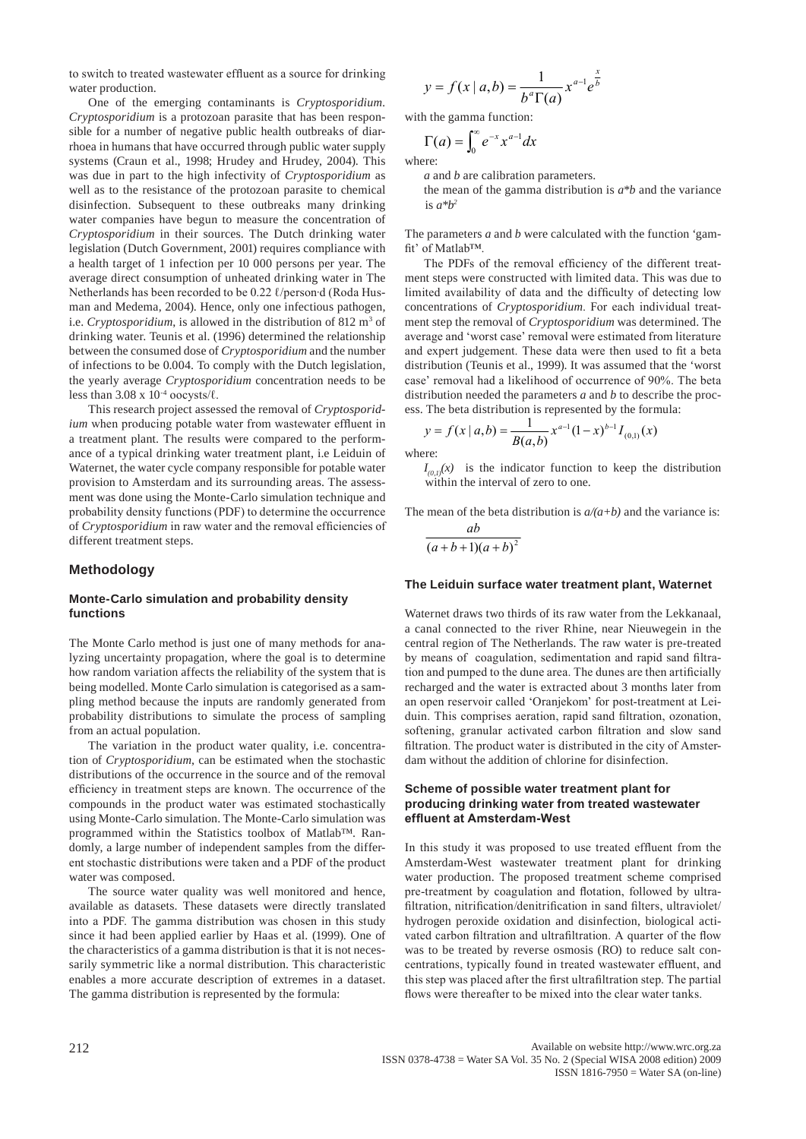to switch to treated wastewater effluent as a source for drinking water production.

One of the emerging contaminants is *Cryptosporidium. Cryptosporidium* is a protozoan parasite that has been responsible for a number of negative public health outbreaks of diarrhoea in humans that have occurred through public water supply systems (Craun et al., 1998; Hrudey and Hrudey, 2004). This was due in part to the high infectivity of *Cryptosporidium* as well as to the resistance of the protozoan parasite to chemical disinfection. Subsequent to these outbreaks many drinking water companies have begun to measure the concentration of *Cryptosporidium* in their sources. The Dutch drinking water legislation (Dutch Government, 2001) requires compliance with a health target of 1 infection per 10 000 persons per year. The average direct consumption of unheated drinking water in The Netherlands has been recorded to be 0.22 ℓ/person∙d (Roda Husman and Medema, 2004). Hence, only one infectious pathogen, i.e. *Cryptosporidium*, is allowed in the distribution of 812 m<sup>3</sup> of drinking water. Teunis et al. (1996) determined the relationship between the consumed dose of *Cryptosporidium* and the number of infections to be 0.004. To comply with the Dutch legislation, the yearly average *Cryptosporidium* concentration needs to be less than  $3.08 \times 10^{-4}$  oocysts/ $\ell$ .

This research project assessed the removal of *Cryptosporidium* when producing potable water from wastewater effluent in a treatment plant. The results were compared to the performance of a typical drinking water treatment plant, i.e Leiduin of Waternet, the water cycle company responsible for potable water provision to Amsterdam and its surrounding areas. The assessment was done using the Monte-Carlo simulation technique and probability density functions (PDF) to determine the occurrence of *Cryptosporidium* in raw water and the removal efficiencies of different treatment steps.

# **Methodology**

## **Monte-Carlo simulation and probability density functions**

The Monte Carlo method is just one of many methods for analyzing uncertainty propagation, where the goal is to determine how random variation affects the reliability of the system that is being modelled. Monte Carlo simulation is categorised as a sampling method because the inputs are randomly generated from probability distributions to simulate the process of sampling from an actual population.

The variation in the product water quality, i.e. concentration of *Cryptosporidium*, can be estimated when the stochastic distributions of the occurrence in the source and of the removal efficiency in treatment steps are known. The occurrence of the compounds in the product water was estimated stochastically using Monte-Carlo simulation. The Monte-Carlo simulation was programmed within the Statistics toolbox of Matlab™. Randomly, a large number of independent samples from the different stochastic distributions were taken and a PDF of the product water was composed.

The source water quality was well monitored and hence, available as datasets. These datasets were directly translated into a PDF. The gamma distribution was chosen in this study since it had been applied earlier by Haas et al. (1999). One of the characteristics of a gamma distribution is that it is not necessarily symmetric like a normal distribution. This characteristic enables a more accurate description of extremes in a dataset. The gamma distribution is represented by the formula:

$$
y = f(x | a, b) = \frac{1}{b^{a} \Gamma(a)} x^{a-1} e^{\frac{x}{b}}
$$

with the gamma function:

$$
\Gamma(a) = \int_0^\infty e^{-x} x^{a-1} dx
$$
  
where:

*a* and *b* are calibration parameters.

the mean of the gamma distribution is *a\*b* and the variance is  $a^*b^2$ 

The parameters *a* and *b* were calculated with the function 'gamfit' of Matlab™.

The PDFs of the removal efficiency of the different treatment steps were constructed with limited data. This was due to limited availability of data and the difficulty of detecting low concentrations of *Cryptosporidium*. For each individual treatment step the removal of *Cryptosporidium* was determined. The average and 'worst case' removal were estimated from literature and expert judgement. These data were then used to fit a beta distribution (Teunis et al., 1999). It was assumed that the 'worst case' removal had a likelihood of occurrence of 90%. The beta distribution needed the parameters *a* and *b* to describe the process. The beta distribution is represented by the formula:

$$
y = f(x | a,b) = \frac{1}{B(a,b)} x^{a-1} (1-x)^{b-1} I_{(0,1)}(x)
$$

where:

 $I_{(0,1)}(x)$  is the indicator function to keep the distribution within the interval of zero to one.

The mean of the beta distribution is  $a/(a+b)$  and the variance is:

$$
\frac{ab}{(a+b+1)(a+b)^2}
$$

### **The Leiduin surface water treatment plant, Waternet**

Waternet draws two thirds of its raw water from the Lekkanaal, a canal connected to the river Rhine, near Nieuwegein in the central region of The Netherlands. The raw water is pre-treated by means of coagulation, sedimentation and rapid sand filtration and pumped to the dune area. The dunes are then artificially recharged and the water is extracted about 3 months later from an open reservoir called 'Oranjekom' for post-treatment at Leiduin. This comprises aeration, rapid sand filtration, ozonation, softening, granular activated carbon filtration and slow sand filtration. The product water is distributed in the city of Amsterdam without the addition of chlorine for disinfection.

## **Scheme of possible water treatment plant for producing drinking water from treated wastewater effluent at Amsterdam-West**

In this study it was proposed to use treated effluent from the Amsterdam-West wastewater treatment plant for drinking water production. The proposed treatment scheme comprised pre-treatment by coagulation and flotation, followed by ultrafiltration, nitrification/denitrification in sand filters, ultraviolet/ hydrogen peroxide oxidation and disinfection, biological activated carbon filtration and ultrafiltration. A quarter of the flow was to be treated by reverse osmosis (RO) to reduce salt concentrations, typically found in treated wastewater effluent, and this step was placed after the first ultrafiltration step. The partial flows were thereafter to be mixed into the clear water tanks.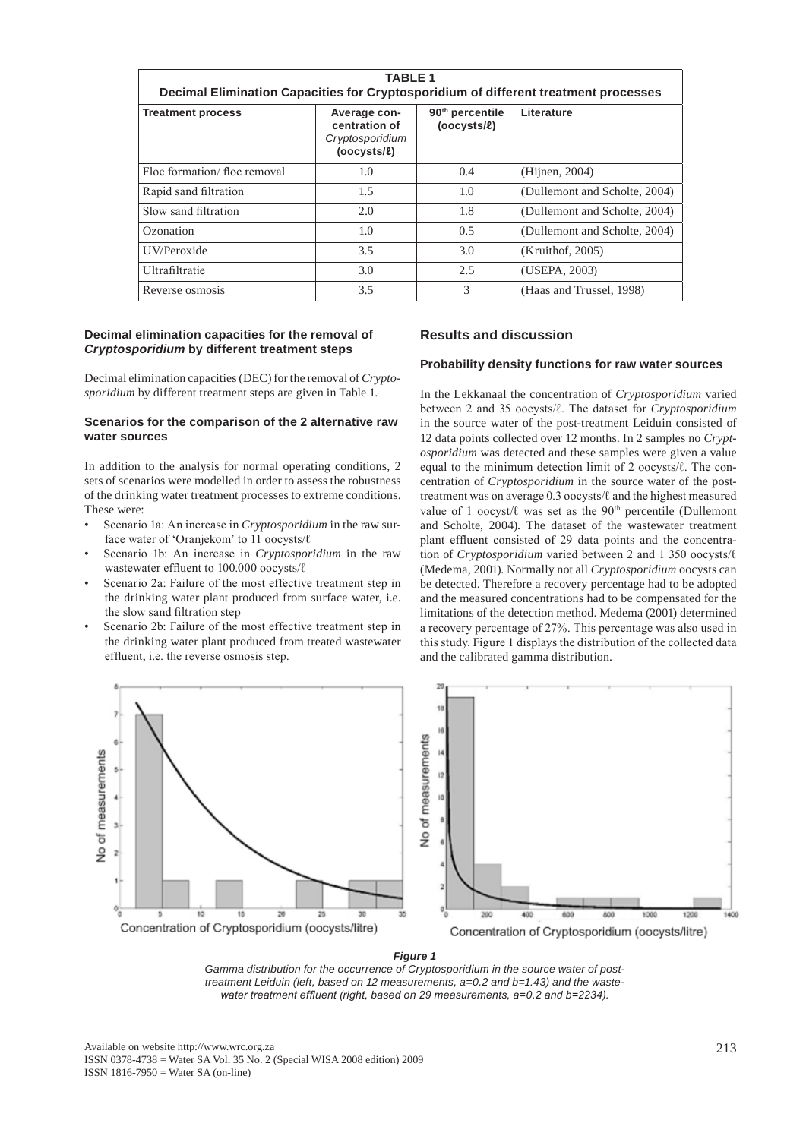| <b>TABLE 1</b><br>Decimal Elimination Capacities for Cryptosporidium of different treatment processes |                                                                 |                                           |                               |
|-------------------------------------------------------------------------------------------------------|-----------------------------------------------------------------|-------------------------------------------|-------------------------------|
| <b>Treatment process</b>                                                                              | Average con-<br>centration of<br>Cryptosporidium<br>(oocysts/l) | 90 <sup>th</sup> percentile<br>(ocysts/l) | Literature                    |
| Floc formation/floc removal                                                                           | 1.0                                                             | 0.4                                       | (Hijnen, 2004)                |
| Rapid sand filtration                                                                                 | 1.5                                                             | 1.0                                       | (Dullemont and Scholte, 2004) |
| Slow sand filtration                                                                                  | 2.0                                                             | 1.8                                       | (Dullemont and Scholte, 2004) |
| Ozonation                                                                                             | 1.0                                                             | 0.5                                       | (Dullemont and Scholte, 2004) |
| UV/Peroxide                                                                                           | 3.5                                                             | 3.0                                       | (Kruithof, 2005)              |
| Ultrafiltratie                                                                                        | 3.0                                                             | 2.5                                       | (USEPA, 2003)                 |
| Reverse osmosis                                                                                       | 3.5                                                             | 3                                         | (Haas and Trussel, 1998)      |

## **Decimal elimination capacities for the removal of**  *Cryptosporidium* **by different treatment steps**

Decimal elimination capacities (DEC) for the removal of *Cryptosporidium* by different treatment steps are given in Table 1.

# **Scenarios for the comparison of the 2 alternative raw water sources**

In addition to the analysis for normal operating conditions, 2 sets of scenarios were modelled in order to assess the robustness of the drinking water treatment processes to extreme conditions. These were:

- Scenario 1a: An increase in *Cryptosporidium* in the raw surface water of 'Oranjekom' to 11 oocysts/ℓ
- Scenario 1b: An increase in *Cryptosporidium* in the raw wastewater effluent to 100.000 oocysts/ℓ
- Scenario 2a: Failure of the most effective treatment step in the drinking water plant produced from surface water, i.e. the slow sand filtration step
- Scenario 2b: Failure of the most effective treatment step in the drinking water plant produced from treated wastewater effluent, i.e. the reverse osmosis step.

# **Results and discussion**

# **Probability density functions for raw water sources**

In the Lekkanaal the concentration of *Cryptosporidium* varied between 2 and 35 oocysts/ℓ. The dataset for *Cryptosporidium* in the source water of the post-treatment Leiduin consisted of 12 data points collected over 12 months. In 2 samples no *Cryptosporidium* was detected and these samples were given a value equal to the minimum detection limit of 2 oocysts/ℓ. The concentration of *Cryptosporidium* in the source water of the posttreatment was on average 0.3 oocysts/ℓ and the highest measured value of 1 oocyst/ℓ was set as the 90<sup>th</sup> percentile (Dullemont and Scholte, 2004). The dataset of the wastewater treatment plant effluent consisted of 29 data points and the concentration of *Cryptosporidium* varied between 2 and 1 350 oocysts/ℓ (Medema, 2001). Normally not all *Cryptosporidium* oocysts can be detected. Therefore a recovery percentage had to be adopted and the measured concentrations had to be compensated for the limitations of the detection method. Medema (2001) determined a recovery percentage of 27%. This percentage was also used in this study. Figure 1 displays the distribution of the collected data and the calibrated gamma distribution.



#### *Figure 1*

*Gamma distribution for the occurrence of Cryptosporidium in the source water of posttreatment Leiduin (left, based on 12 measurements, a=0.2 and b=1.43) and the wastewater treatment effluent (right, based on 29 measurements, a=0.2 and b=2234).*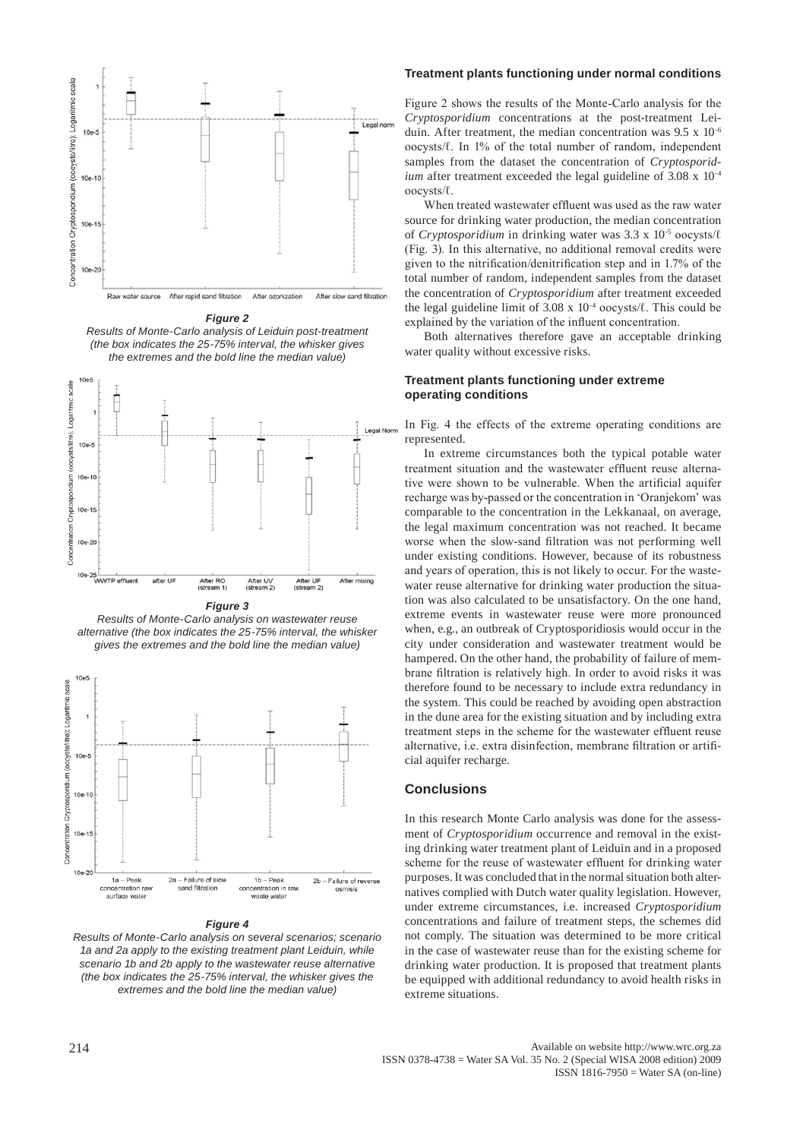

*Figure 2 Results of Monte-Carlo analysis of Leiduin post-treatment (the box indicates the 25-75% interval, the whisker gives the extremes and the bold line the median value)*



*Figure 3*

*Results of Monte-Carlo analysis on wastewater reuse alternative (the box indicates the 25-75% interval, the whisker gives the extremes and the bold line the median value)*



#### *Figure 4*

*Results of Monte-Carlo analysis on several scenarios; scenario 1a and 2a apply to the existing treatment plant Leiduin, while scenario 1b and 2b apply to the wastewater reuse alternative (the box indicates the 25-75% interval, the whisker gives the extremes and the bold line the median value)*

#### **Treatment plants functioning under normal conditions**

Figure 2 shows the results of the Monte-Carlo analysis for the *Cryptosporidium* concentrations at the post-treatment Leiduin. After treatment, the median concentration was 9.5 x 10-6 oocysts/ℓ. In 1% of the total number of random, independent samples from the dataset the concentration of *Cryptosporidium* after treatment exceeded the legal guideline of 3.08 x 10<sup>-4</sup> oocysts/ℓ.

When treated wastewater effluent was used as the raw water source for drinking water production, the median concentration of *Cryptosporidium* in drinking water was 3.3 x 10-5 oocysts/ℓ (Fig. 3). In this alternative, no additional removal credits were given to the nitrification/denitrification step and in 1.7% of the total number of random, independent samples from the dataset the concentration of *Cryptosporidium* after treatment exceeded the legal guideline limit of  $3.08 \times 10^{-4}$  oocysts/ $\ell$ . This could be explained by the variation of the influent concentration.

Both alternatives therefore gave an acceptable drinking water quality without excessive risks.

## **Treatment plants functioning under extreme operating conditions**

In Fig. 4 the effects of the extreme operating conditions are represented.

In extreme circumstances both the typical potable water treatment situation and the wastewater effluent reuse alternative were shown to be vulnerable. When the artificial aquifer recharge was by-passed or the concentration in 'Oranjekom' was comparable to the concentration in the Lekkanaal, on average, the legal maximum concentration was not reached. It became worse when the slow-sand filtration was not performing well under existing conditions. However, because of its robustness and years of operation, this is not likely to occur. For the wastewater reuse alternative for drinking water production the situation was also calculated to be unsatisfactory. On the one hand, extreme events in wastewater reuse were more pronounced when, e.g., an outbreak of Cryptosporidiosis would occur in the city under consideration and wastewater treatment would be hampered. On the other hand, the probability of failure of membrane filtration is relatively high. In order to avoid risks it was therefore found to be necessary to include extra redundancy in the system. This could be reached by avoiding open abstraction in the dune area for the existing situation and by including extra treatment steps in the scheme for the wastewater effluent reuse alternative, i.e. extra disinfection, membrane filtration or artificial aquifer recharge.

# **Conclusions**

In this research Monte Carlo analysis was done for the assessment of *Cryptosporidium* occurrence and removal in the existing drinking water treatment plant of Leiduin and in a proposed scheme for the reuse of wastewater effluent for drinking water purposes. It was concluded that in the normal situation both alternatives complied with Dutch water quality legislation. However, under extreme circumstances, i.e. increased *Cryptosporidium* concentrations and failure of treatment steps, the schemes did not comply. The situation was determined to be more critical in the case of wastewater reuse than for the existing scheme for drinking water production. It is proposed that treatment plants be equipped with additional redundancy to avoid health risks in extreme situations.